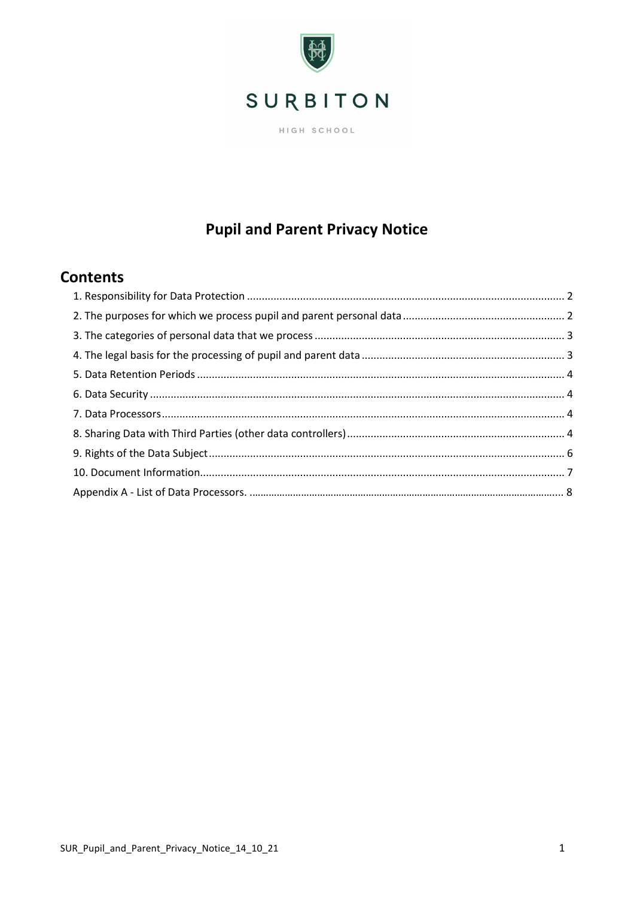

HIGH SCHOOL

## **Pupil and Parent Privacy Notice**

## **Contents**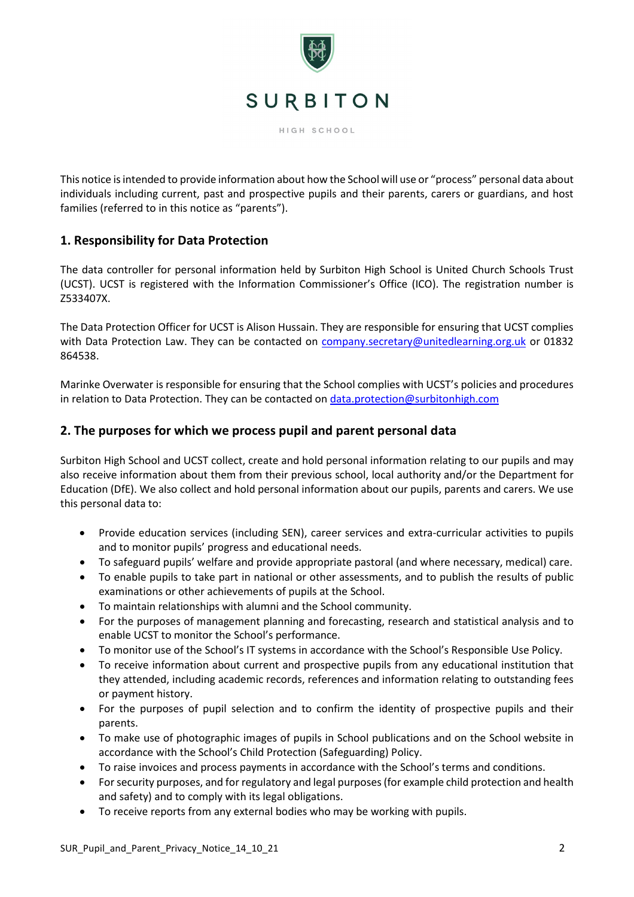

HIGH SCHOOL

This notice is intended to provide information about how the School will use or "process" personal data about individuals including current, past and prospective pupils and their parents, carers or guardians, and host families (referred to in this notice as "parents").

## <span id="page-1-0"></span>**1. Responsibility for Data Protection**

The data controller for personal information held by Surbiton High School is United Church Schools Trust (UCST). UCST is registered with the Information Commissioner's Office (ICO). The registration number is Z533407X.

The Data Protection Officer for UCST is Alison Hussain. They are responsible for ensuring that UCST complies with Data Protection Law. They can be contacted on [company.secretary@unitedlearning.org.uk](mailto:company.secretary@unitedlearning.org.uk) or 01832 864538.

Marinke Overwater is responsible for ensuring that the School complies with UCST's policies and procedures in relation to Data Protection. They can be contacted on [data.protection@surbitonhigh.com](mailto:data.protection@surbitonhigh.com)

## <span id="page-1-1"></span>**2. The purposes for which we process pupil and parent personal data**

Surbiton High School and UCST collect, create and hold personal information relating to our pupils and may also receive information about them from their previous school, local authority and/or the Department for Education (DfE). We also collect and hold personal information about our pupils, parents and carers. We use this personal data to:

- Provide education services (including SEN), career services and extra-curricular activities to pupils and to monitor pupils' progress and educational needs.
- To safeguard pupils' welfare and provide appropriate pastoral (and where necessary, medical) care.
- To enable pupils to take part in national or other assessments, and to publish the results of public examinations or other achievements of pupils at the School.
- To maintain relationships with alumni and the School community.
- For the purposes of management planning and forecasting, research and statistical analysis and to enable UCST to monitor the School's performance.
- To monitor use of the School's IT systems in accordance with the School's Responsible Use Policy.
- To receive information about current and prospective pupils from any educational institution that they attended, including academic records, references and information relating to outstanding fees or payment history.
- For the purposes of pupil selection and to confirm the identity of prospective pupils and their parents.
- To make use of photographic images of pupils in School publications and on the School website in accordance with the School's Child Protection (Safeguarding) Policy.
- To raise invoices and process payments in accordance with the School's terms and conditions.
- For security purposes, and for regulatory and legal purposes (for example child protection and health and safety) and to comply with its legal obligations.
- To receive reports from any external bodies who may be working with pupils.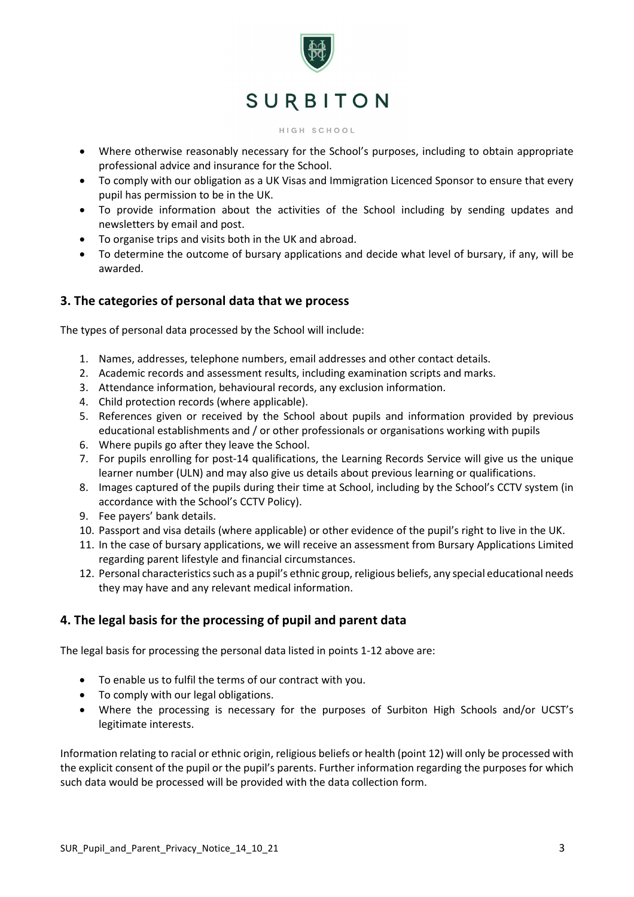

#### HIGH SCHOOL

- Where otherwise reasonably necessary for the School's purposes, including to obtain appropriate professional advice and insurance for the School.
- To comply with our obligation as a UK Visas and Immigration Licenced Sponsor to ensure that every pupil has permission to be in the UK.
- To provide information about the activities of the School including by sending updates and newsletters by email and post.
- To organise trips and visits both in the UK and abroad.
- To determine the outcome of bursary applications and decide what level of bursary, if any, will be awarded.

### <span id="page-2-0"></span>**3. The categories of personal data that we process**

The types of personal data processed by the School will include:

- 1. Names, addresses, telephone numbers, email addresses and other contact details.
- 2. Academic records and assessment results, including examination scripts and marks.
- 3. Attendance information, behavioural records, any exclusion information.
- 4. Child protection records (where applicable).
- 5. References given or received by the School about pupils and information provided by previous educational establishments and / or other professionals or organisations working with pupils
- 6. Where pupils go after they leave the School.
- 7. For pupils enrolling for post-14 qualifications, the Learning Records Service will give us the unique learner number (ULN) and may also give us details about previous learning or qualifications.
- 8. Images captured of the pupils during their time at School, including by the School's CCTV system (in accordance with the School's CCTV Policy).
- 9. Fee payers' bank details.
- 10. Passport and visa details (where applicable) or other evidence of the pupil's right to live in the UK.
- 11. In the case of bursary applications, we will receive an assessment from Bursary Applications Limited regarding parent lifestyle and financial circumstances.
- 12. Personal characteristics such as a pupil's ethnic group, religious beliefs, any special educational needs they may have and any relevant medical information.

## <span id="page-2-1"></span>**4. The legal basis for the processing of pupil and parent data**

The legal basis for processing the personal data listed in points 1-12 above are:

- To enable us to fulfil the terms of our contract with you.
- To comply with our legal obligations.
- Where the processing is necessary for the purposes of Surbiton High Schools and/or UCST's legitimate interests.

Information relating to racial or ethnic origin, religious beliefs or health (point 12) will only be processed with the explicit consent of the pupil or the pupil's parents. Further information regarding the purposes for which such data would be processed will be provided with the data collection form.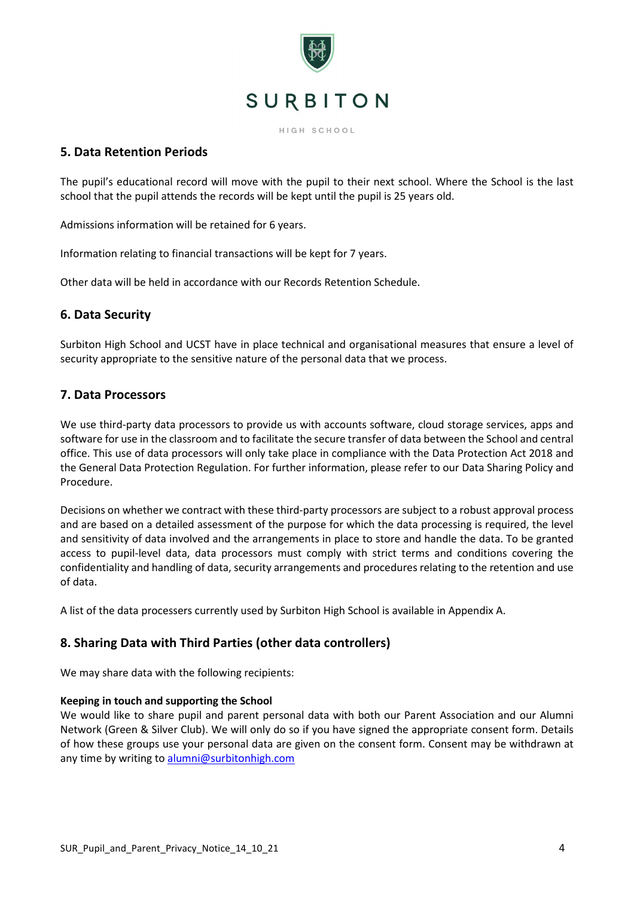

HIGH SCHOOL

## <span id="page-3-0"></span>**5. Data Retention Periods**

The pupil's educational record will move with the pupil to their next school. Where the School is the last school that the pupil attends the records will be kept until the pupil is 25 years old.

Admissions information will be retained for 6 years.

Information relating to financial transactions will be kept for 7 years.

Other data will be held in accordance with our Records Retention Schedule.

## <span id="page-3-1"></span>**6. Data Security**

Surbiton High School and UCST have in place technical and organisational measures that ensure a level of security appropriate to the sensitive nature of the personal data that we process.

## <span id="page-3-2"></span>**7. Data Processors**

We use third-party data processors to provide us with accounts software, cloud storage services, apps and software for use in the classroom and to facilitate the secure transfer of data between the School and central office. This use of data processors will only take place in compliance with the Data Protection Act 2018 and the General Data Protection Regulation. For further information, please refer to our Data Sharing Policy and Procedure.

Decisions on whether we contract with these third-party processors are subject to a robust approval process and are based on a detailed assessment of the purpose for which the data processing is required, the level and sensitivity of data involved and the arrangements in place to store and handle the data. To be granted access to pupil-level data, data processors must comply with strict terms and conditions covering the confidentiality and handling of data, security arrangements and procedures relating to the retention and use of data.

A list of the data processers currently used by Surbiton High School is available in Appendix A.

## <span id="page-3-3"></span>**8. Sharing Data with Third Parties (other data controllers)**

We may share data with the following recipients:

### **Keeping in touch and supporting the School**

We would like to share pupil and parent personal data with both our Parent Association and our Alumni Network (Green & Silver Club). We will only do so if you have signed the appropriate consent form. Details of how these groups use your personal data are given on the consent form. Consent may be withdrawn at any time by writing to [alumni@surbitonhigh.com](mailto:alumni@surbitonhigh.com)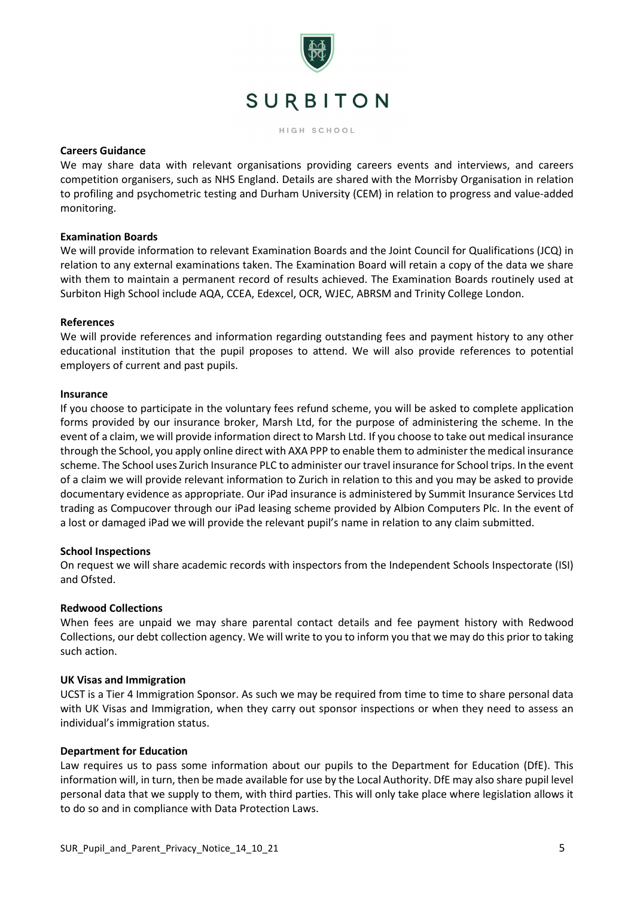

HIGH SCHOOL

#### **Careers Guidance**

We may share data with relevant organisations providing careers events and interviews, and careers competition organisers, such as NHS England. Details are shared with the Morrisby Organisation in relation to profiling and psychometric testing and Durham University (CEM) in relation to progress and value-added monitoring.

#### **Examination Boards**

We will provide information to relevant Examination Boards and the Joint Council for Qualifications (JCQ) in relation to any external examinations taken. The Examination Board will retain a copy of the data we share with them to maintain a permanent record of results achieved. The Examination Boards routinely used at Surbiton High School include AQA, CCEA, Edexcel, OCR, WJEC, ABRSM and Trinity College London.

#### **References**

We will provide references and information regarding outstanding fees and payment history to any other educational institution that the pupil proposes to attend. We will also provide references to potential employers of current and past pupils.

#### **Insurance**

If you choose to participate in the voluntary fees refund scheme, you will be asked to complete application forms provided by our insurance broker, Marsh Ltd, for the purpose of administering the scheme. In the event of a claim, we will provide information direct to Marsh Ltd. If you choose to take out medical insurance through the School, you apply online direct with AXA PPP to enable them to administer the medical insurance scheme. The School uses Zurich Insurance PLC to administer our travel insurance for School trips. In the event of a claim we will provide relevant information to Zurich in relation to this and you may be asked to provide documentary evidence as appropriate. Our iPad insurance is administered by Summit Insurance Services Ltd trading as Compucover through our iPad leasing scheme provided by Albion Computers Plc. In the event of a lost or damaged iPad we will provide the relevant pupil's name in relation to any claim submitted.

### **School Inspections**

On request we will share academic records with inspectors from the Independent Schools Inspectorate (ISI) and Ofsted.

#### **Redwood Collections**

When fees are unpaid we may share parental contact details and fee payment history with Redwood Collections, our debt collection agency. We will write to you to inform you that we may do this prior to taking such action.

#### **UK Visas and Immigration**

UCST is a Tier 4 Immigration Sponsor. As such we may be required from time to time to share personal data with UK Visas and Immigration, when they carry out sponsor inspections or when they need to assess an individual's immigration status.

#### **Department for Education**

Law requires us to pass some information about our pupils to the Department for Education (DfE). This information will, in turn, then be made available for use by the Local Authority. DfE may also share pupil level personal data that we supply to them, with third parties. This will only take place where legislation allows it to do so and in compliance with Data Protection Laws.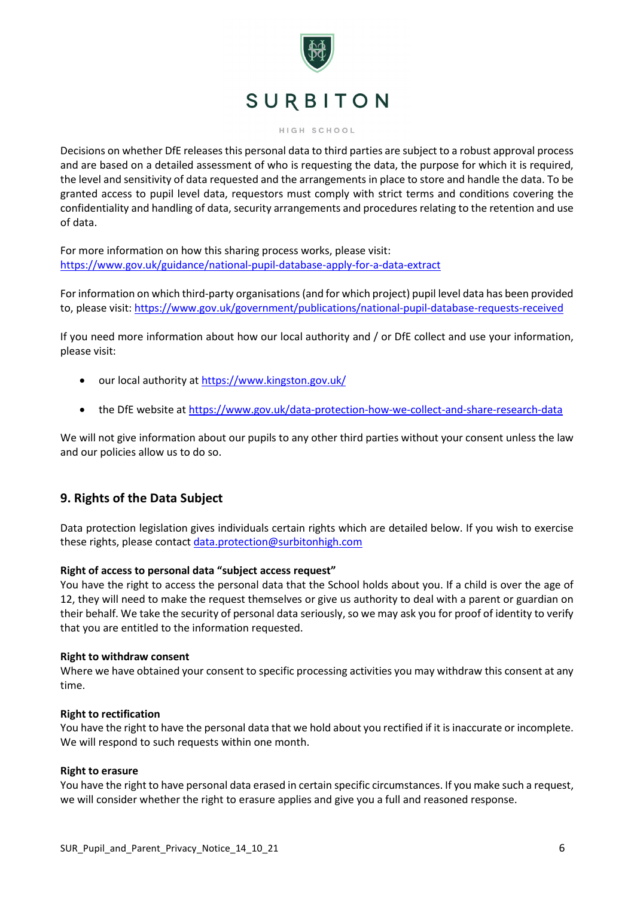

#### HIGH SCHOOL

Decisions on whether DfE releases this personal data to third parties are subject to a robust approval process and are based on a detailed assessment of who is requesting the data, the purpose for which it is required, the level and sensitivity of data requested and the arrangements in place to store and handle the data. To be granted access to pupil level data, requestors must comply with strict terms and conditions covering the confidentiality and handling of data, security arrangements and procedures relating to the retention and use of data.

For more information on how this sharing process works, please visit: <https://www.gov.uk/guidance/national-pupil-database-apply-for-a-data-extract>

For information on which third-party organisations (and for which project) pupil level data has been provided to, please visit:<https://www.gov.uk/government/publications/national-pupil-database-requests-received>

If you need more information about how our local authority and / or DfE collect and use your information, please visit:

- our local authority at<https://www.kingston.gov.uk/>
- the DfE website at<https://www.gov.uk/data-protection-how-we-collect-and-share-research-data>

We will not give information about our pupils to any other third parties without your consent unless the law and our policies allow us to do so.

## <span id="page-5-0"></span>**9. Rights of the Data Subject**

Data protection legislation gives individuals certain rights which are detailed below. If you wish to exercise these rights, please contact [data.protection@surbitonhigh.com](mailto:data.protection@surbitonhigh.com)

#### **Right of access to personal data "subject access request"**

You have the right to access the personal data that the School holds about you. If a child is over the age of 12, they will need to make the request themselves or give us authority to deal with a parent or guardian on their behalf. We take the security of personal data seriously, so we may ask you for proof of identity to verify that you are entitled to the information requested.

#### **Right to withdraw consent**

Where we have obtained your consent to specific processing activities you may withdraw this consent at any time.

#### **Right to rectification**

You have the right to have the personal data that we hold about you rectified if it is inaccurate or incomplete. We will respond to such requests within one month.

#### **Right to erasure**

You have the right to have personal data erased in certain specific circumstances. If you make such a request, we will consider whether the right to erasure applies and give you a full and reasoned response.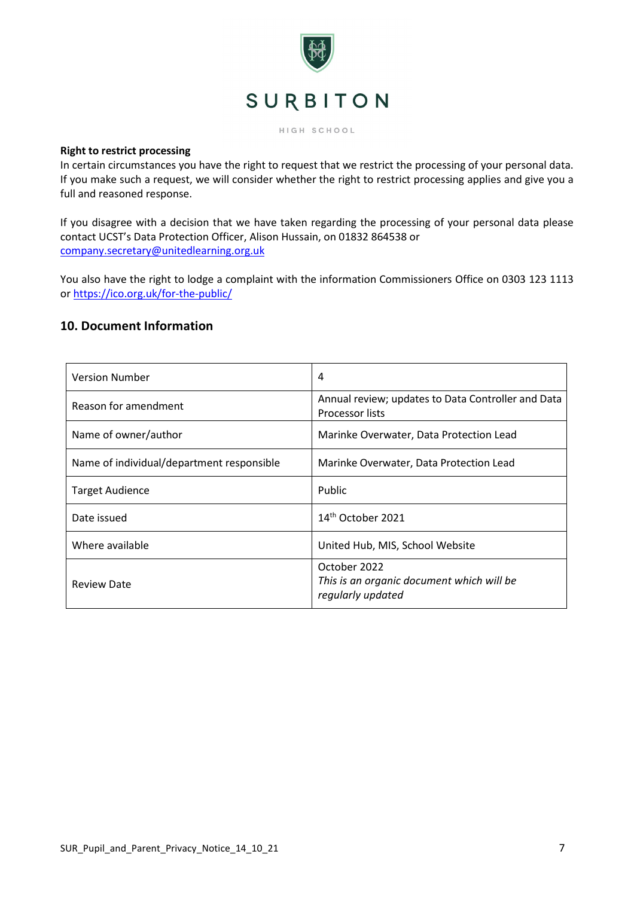

HIGH SCHOOL

#### **Right to restrict processing**

In certain circumstances you have the right to request that we restrict the processing of your personal data. If you make such a request, we will consider whether the right to restrict processing applies and give you a full and reasoned response.

If you disagree with a decision that we have taken regarding the processing of your personal data please contact UCST's Data Protection Officer, Alison Hussain, on 01832 864538 or [company.secretary@unitedlearning.org.uk](mailto:company.secretary@unitedlearning.org.uk)

You also have the right to lodge a complaint with the information Commissioners Office on 0303 123 1113 or <https://ico.org.uk/for-the-public/>

### <span id="page-6-0"></span>**10. Document Information**

| <b>Version Number</b>                     | 4                                                                              |
|-------------------------------------------|--------------------------------------------------------------------------------|
| Reason for amendment                      | Annual review; updates to Data Controller and Data<br><b>Processor lists</b>   |
| Name of owner/author                      | Marinke Overwater, Data Protection Lead                                        |
| Name of individual/department responsible | Marinke Overwater, Data Protection Lead                                        |
| <b>Target Audience</b>                    | Public                                                                         |
| Date issued                               | 14 <sup>th</sup> October 2021                                                  |
| Where available                           | United Hub, MIS, School Website                                                |
| <b>Review Date</b>                        | October 2022<br>This is an organic document which will be<br>regularly updated |